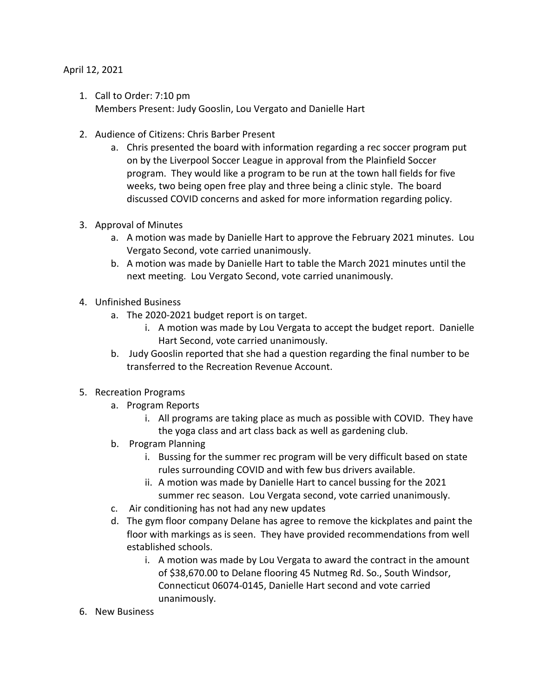## April 12, 2021

- 1. Call to Order: 7:10 pm Members Present: Judy Gooslin, Lou Vergato and Danielle Hart
- 2. Audience of Citizens: Chris Barber Present
	- a. Chris presented the board with information regarding a rec soccer program put on by the Liverpool Soccer League in approval from the Plainfield Soccer program. They would like a program to be run at the town hall fields for five weeks, two being open free play and three being a clinic style. The board discussed COVID concerns and asked for more information regarding policy.
- 3. Approval of Minutes
	- a. A motion was made by Danielle Hart to approve the February 2021 minutes. Lou Vergato Second, vote carried unanimously.
	- b. A motion was made by Danielle Hart to table the March 2021 minutes until the next meeting. Lou Vergato Second, vote carried unanimously.
- 4. Unfinished Business
	- a. The 2020-2021 budget report is on target.
		- i. A motion was made by Lou Vergata to accept the budget report. Danielle Hart Second, vote carried unanimously.
	- b. Judy Gooslin reported that she had a question regarding the final number to be transferred to the Recreation Revenue Account.
- 5. Recreation Programs
	- a. Program Reports
		- i. All programs are taking place as much as possible with COVID. They have the yoga class and art class back as well as gardening club.
	- b. Program Planning
		- i. Bussing for the summer rec program will be very difficult based on state rules surrounding COVID and with few bus drivers available.
		- ii. A motion was made by Danielle Hart to cancel bussing for the 2021 summer rec season. Lou Vergata second, vote carried unanimously.
	- c. Air conditioning has not had any new updates
	- d. The gym floor company Delane has agree to remove the kickplates and paint the floor with markings as is seen. They have provided recommendations from well established schools.
		- i. A motion was made by Lou Vergata to award the contract in the amount of \$38,670.00 to Delane flooring 45 Nutmeg Rd. So., South Windsor, Connecticut 06074-0145, Danielle Hart second and vote carried unanimously.
- 6. New Business